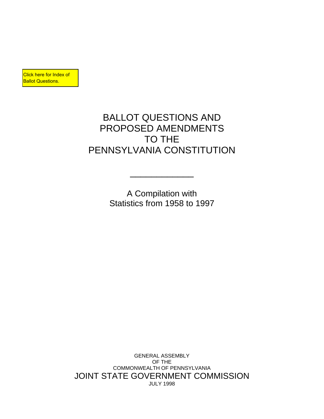**Click here for Index of Ballot Questions.** 

# BALLOT QUESTIONS AND PROPOSED AMENDMENTS TO THE PENNSYLVANIA CONSTITUTION

A Compilation with Statistics from 1958 to 1997

 $\frac{1}{2}$  , and the set of the set of the set of the set of the set of the set of the set of the set of the set of the set of the set of the set of the set of the set of the set of the set of the set of the set of the set

GENERAL ASSEMBLY OF THE COMMONWEALTH OF PENNSYLVANIA JOINT STATE GOVERNMENT COMMISSION JULY 1998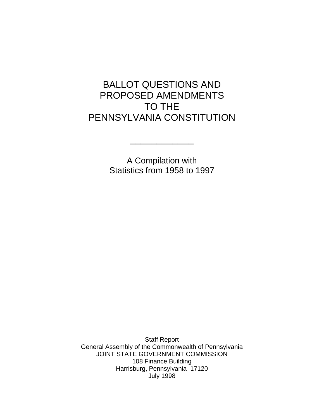# BALLOT QUESTIONS AND PROPOSED AMENDMENTS TO THE PENNSYLVANIA CONSTITUTION

A Compilation with Statistics from 1958 to 1997

 $\frac{1}{2}$  , and the set of the set of the set of the set of the set of the set of the set of the set of the set of the set of the set of the set of the set of the set of the set of the set of the set of the set of the set

 Staff Report General Assembly of the Commonwealth of Pennsylvania JOINT STATE GOVERNMENT COMMISSION 108 Finance Building Harrisburg, Pennsylvania 17120 July 1998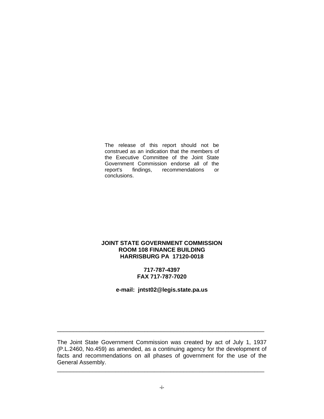The release of this report should not be construed as an indication that the members of the Executive Committee of the Joint State Government Commission endorse all of the report's findings, recommendations or conclusions.

#### **JOINT STATE GOVERNMENT COMMISSION ROOM 108 FINANCE BUILDING HARRISBURG PA 17120-0018**

#### **717-787-4397 FAX 717-787-7020**

**e-mail: jntst02@legis.state.pa.us**

The Joint State Government Commission was created by act of July 1, 1937 (P.L.2460, No.459) as amended, as a continuing agency for the development of facts and recommendations on all phases of government for the use of the General Assembly.

\_\_\_\_\_\_\_\_\_\_\_\_\_\_\_\_\_\_\_\_\_\_\_\_\_\_\_\_\_\_\_\_\_\_\_\_\_\_\_\_\_\_\_\_\_\_\_\_\_\_\_\_\_\_\_\_\_\_\_\_\_\_\_\_

\_\_\_\_\_\_\_\_\_\_\_\_\_\_\_\_\_\_\_\_\_\_\_\_\_\_\_\_\_\_\_\_\_\_\_\_\_\_\_\_\_\_\_\_\_\_\_\_\_\_\_\_\_\_\_\_\_\_\_\_\_\_\_\_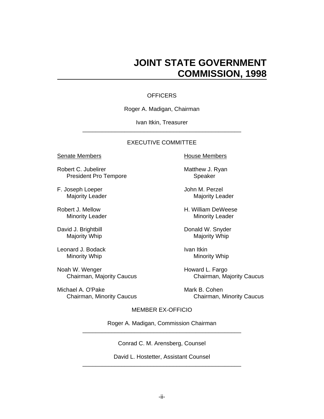# **JOINT STATE GOVERNMENT COMMISSION, 1998**

#### **OFFICERS**

#### Roger A. Madigan, Chairman

#### Ivan Itkin, Treasurer

\_\_\_\_\_\_\_\_\_\_\_\_\_\_\_\_\_\_\_\_\_\_\_\_\_\_\_\_\_\_\_\_\_\_\_\_\_\_\_\_\_\_\_\_\_\_\_\_\_

#### EXECUTIVE COMMITTEE

#### Senate Members **House Members**

Robert C. Jubelirer Matthew J. Ryan President Pro Tempore Speaker

F. Joseph Loeper **F. John M. Perzel** 

Leonard J. Bodack **Ivan Itkin** 

Noah W. Wenger **Howard L. Fargo** 

Michael A. O'Pake Mark B. Cohen

Majority Leader Majority Leader

Robert J. Mellow **H. William DeWeese** Minority Leader **Minority Leader** Minority Leader

David J. Brightbill **Donald W. Snyder** Majority Whip Majority Whip Majority Whip

Minority Whip Minority Whip

Chairman, Majority Caucus Chairman, Majority Caucus

Chairman, Minority Caucus Chairman, Minority Caucus

#### MEMBER EX-OFFICIO

Roger A. Madigan, Commission Chairman

\_\_\_\_\_\_\_\_\_\_\_\_\_\_\_\_\_\_\_\_\_\_\_\_\_\_\_\_\_\_\_\_\_\_\_\_\_\_\_\_\_\_\_\_\_\_\_\_\_

\_\_\_\_\_\_\_\_\_\_\_\_\_\_\_\_\_\_\_\_\_\_\_\_\_\_\_\_\_\_\_\_\_\_\_\_\_\_\_\_\_\_\_\_\_\_\_\_\_

Conrad C. M. Arensberg, Counsel

David L. Hostetter, Assistant Counsel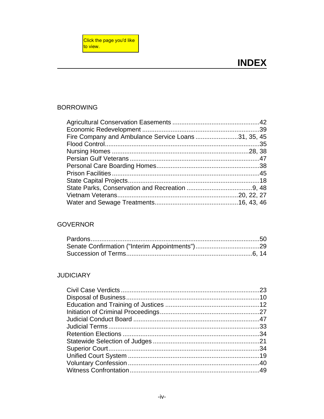# <span id="page-5-0"></span>**BORROWING**

| Fire Company and Ambulance Service Loans31, 35, 45 |  |
|----------------------------------------------------|--|
|                                                    |  |
|                                                    |  |
|                                                    |  |
|                                                    |  |
|                                                    |  |
|                                                    |  |
|                                                    |  |
|                                                    |  |
|                                                    |  |

# **GOVERNOR**

# **JUDICIARY**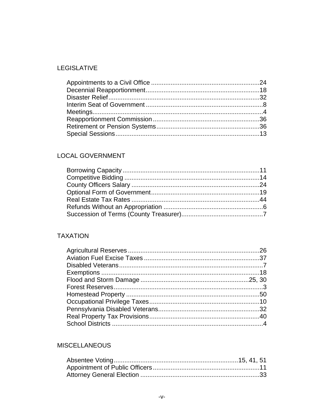# **LEGISLATIVE**

# LOCAL GOVERNMENT

# **TAXATION**

# **MISCELLANEOUS**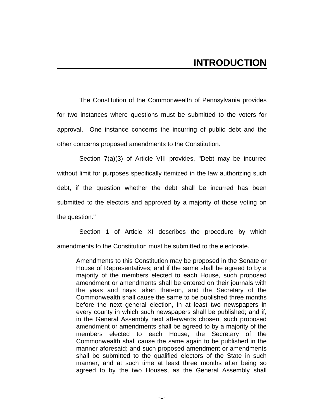The Constitution of the Commonwealth of Pennsylvania provides for two instances where questions must be submitted to the voters for approval. One instance concerns the incurring of public debt and the other concerns proposed amendments to the Constitution.

Section 7(a)(3) of Article VIII provides, "Debt may be incurred without limit for purposes specifically itemized in the law authorizing such debt, if the question whether the debt shall be incurred has been submitted to the electors and approved by a majority of those voting on the question."

Section 1 of Article XI describes the procedure by which amendments to the Constitution must be submitted to the electorate.

Amendments to this Constitution may be proposed in the Senate or House of Representatives; and if the same shall be agreed to by a majority of the members elected to each House, such proposed amendment or amendments shall be entered on their journals with the yeas and nays taken thereon, and the Secretary of the Commonwealth shall cause the same to be published three months before the next general election, in at least two newspapers in every county in which such newspapers shall be published; and if, in the General Assembly next afterwards chosen, such proposed amendment or amendments shall be agreed to by a majority of the members elected to each House, the Secretary of the Commonwealth shall cause the same again to be published in the manner aforesaid; and such proposed amendment or amendments shall be submitted to the qualified electors of the State in such manner, and at such time at least three months after being so agreed to by the two Houses, as the General Assembly shall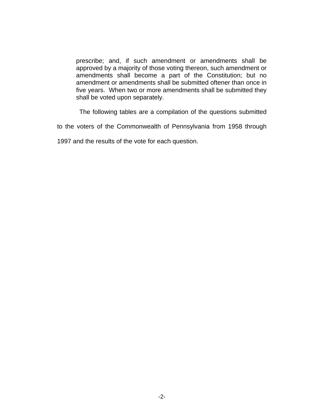prescribe; and, if such amendment or amendments shall be approved by a majority of those voting thereon, such amendment or amendments shall become a part of the Constitution; but no amendment or amendments shall be submitted oftener than once in five years. When two or more amendments shall be submitted they shall be voted upon separately.

The following tables are a compilation of the questions submitted

to the voters of the Commonwealth of Pennsylvania from 1958 through

1997 and the results of the vote for each question.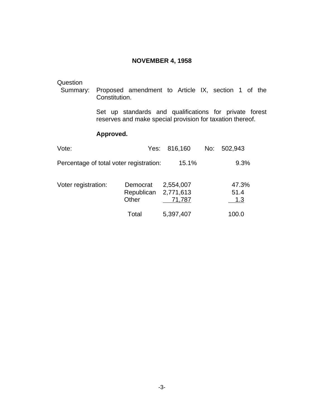#### **NOVEMBER 4, 1958**

#### <span id="page-11-0"></span>**Question**

 Summary: Proposed amendment to Article IX, section 1 of the Constitution.

> Set up standards and qualifications for private forest reserves and make special provision for taxation thereof.

| Vote:                                   |                                 | Yes: 816,160                     | No: | 502,943              |
|-----------------------------------------|---------------------------------|----------------------------------|-----|----------------------|
| Percentage of total voter registration: |                                 | 15.1%                            |     | 9.3%                 |
| Voter registration:                     | Democrat<br>Republican<br>Other | 2,554,007<br>2,771,613<br>71,787 |     | 47.3%<br>51.4<br>1.3 |
|                                         | Total                           | 5,397,407                        |     | 100.0                |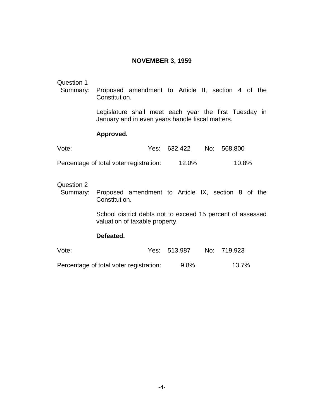# **NOVEMBER 3, 1959**

#### <span id="page-12-0"></span>Question 1

 Summary: Proposed amendment to Article II, section 4 of the Constitution.

> Legislature shall meet each year the first Tuesday in January and in even years handle fiscal matters.

#### **Approved.**

| Vote:                                   | Yes: 632,422 | No: 568,800 |
|-----------------------------------------|--------------|-------------|
| Percentage of total voter registration: | 12.0%        | 10.8%       |

### Question 2

 Summary: Proposed amendment to Article IX, section 8 of the Constitution.

> School district debts not to exceed 15 percent of assessed valuation of taxable property.

#### **Defeated.**

| Vote:                                               | Yes: 513,987 No: 719,923 |        |
|-----------------------------------------------------|--------------------------|--------|
| Denes attended till att alle andere att att element | $\sim$ $\sim$            | 40.701 |

Percentage of total voter registration: 9.8% 13.7%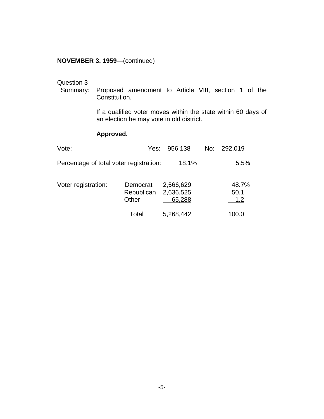#### <span id="page-13-0"></span>**NOVEMBER 3, 1959**—(continued)

Question 3<br>Summary: Proposed amendment to Article VIII, section 1 of the Constitution.

> If a qualified voter moves within the state within 60 days of an election he may vote in old district.

| Vote:                                   | Yes:                            | 956,138                          | No: | 292,019              |
|-----------------------------------------|---------------------------------|----------------------------------|-----|----------------------|
| Percentage of total voter registration: |                                 | 18.1%                            |     | 5.5%                 |
| Voter registration:                     | Democrat<br>Republican<br>Other | 2,566,629<br>2,636,525<br>65,288 |     | 48.7%<br>50.1<br>1.2 |
|                                         | Total                           | 5,268,442                        |     | 100.0                |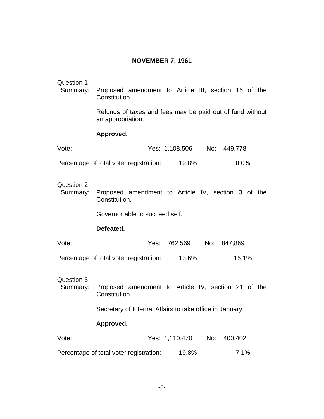# **NOVEMBER 7, 1961**

<span id="page-14-0"></span>

| Question 1<br>Summary: | Proposed amendment to Article III, section 16 of the<br>Constitution.          |
|------------------------|--------------------------------------------------------------------------------|
|                        | Refunds of taxes and fees may be paid out of fund without<br>an appropriation. |
|                        | Approved.                                                                      |
| Vote:                  | Yes: 1,108,506 No: 449,778                                                     |
|                        | 8.0%<br>Percentage of total voter registration: 19.8%                          |
| Question 2<br>Summary: | Proposed amendment to Article IV, section 3 of the<br>Constitution.            |
|                        | Governor able to succeed self.                                                 |
|                        | Defeated.                                                                      |
| Vote:                  | Yes: 762,569 No: 847,869                                                       |
|                        | Percentage of total voter registration:<br>15.1%<br>13.6%                      |
| Question 3<br>Summary: | Proposed amendment to Article IV, section 21 of the<br>Constitution.           |
|                        | Secretary of Internal Affairs to take office in January.                       |
|                        | Approved.                                                                      |
| Vote:                  | Yes: 1,110,470<br>No:<br>400,402                                               |
|                        | Percentage of total voter registration:<br>19.8%<br>7.1%                       |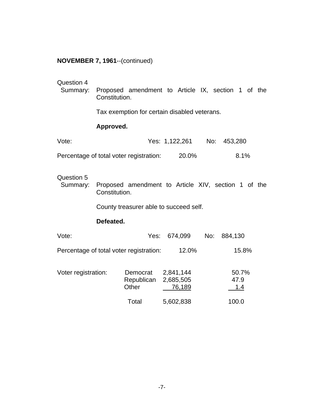#### <span id="page-15-0"></span>**NOVEMBER 7, 1961**--(continued)

# Question 4

 Summary: Proposed amendment to Article IX, section 1 of the Constitution.

Tax exemption for certain disabled veterans.

### **Approved.**

| Vote:                                   | Yes: 1,122,261 | No: 453,280 |
|-----------------------------------------|----------------|-------------|
| Percentage of total voter registration: | 20.0%          | 8.1%        |

#### Question 5

 Summary: Proposed amendment to Article XIV, section 1 of the Constitution.

County treasurer able to succeed self.

#### **Defeated.**

| Vote:                                   | Yes:                            | 674,099                          | No: | 884,130              |
|-----------------------------------------|---------------------------------|----------------------------------|-----|----------------------|
| Percentage of total voter registration: |                                 | 12.0%                            |     | 15.8%                |
| Voter registration:                     | Democrat<br>Republican<br>Other | 2,841,144<br>2,685,505<br>76,189 |     | 50.7%<br>47.9<br>1.4 |
|                                         | Total                           | 5,602,838                        |     | 100.0                |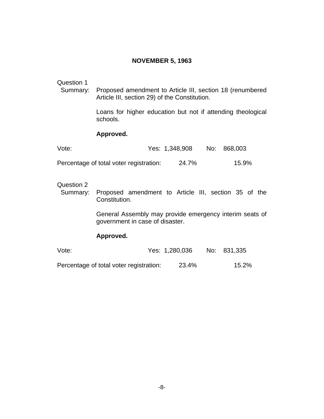# **NOVEMBER 5, 1963**

# <span id="page-16-0"></span>Question 1

 Summary: Proposed amendment to Article III, section 18 (renumbered Article III, section 29) of the Constitution.

> Loans for higher education but not if attending theological schools.

#### **Approved.**

| Vote:                                   | Yes: 1,348,908 | No: 868,003 |
|-----------------------------------------|----------------|-------------|
| Percentage of total voter registration: | 24.7%          | 15.9%       |

### Question 2

 Summary: Proposed amendment to Article III, section 35 of the Constitution.

> General Assembly may provide emergency interim seats of government in case of disaster.

| Vote:                                   | Yes: 1,280,036 | No: 831,335 |
|-----------------------------------------|----------------|-------------|
| Percentage of total voter registration: | 23.4%          | 15.2%       |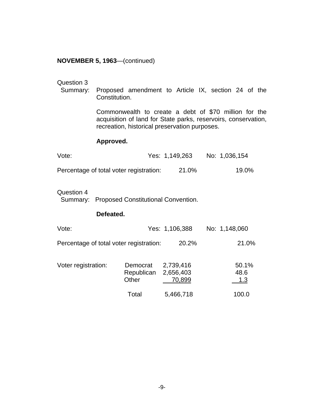#### <span id="page-17-0"></span>**NOVEMBER 5, 1963**—(continued)

#### Question 3

 Summary: Proposed amendment to Article IX, section 24 of the Constitution.

> Commonwealth to create a debt of \$70 million for the acquisition of land for State parks, reservoirs, conservation, recreation, historical preservation purposes.

#### **Approved.**

| Vote:                                   | Yes: 1,149,263 | No: 1,036,154 |
|-----------------------------------------|----------------|---------------|
| Percentage of total voter registration: | 21.0%          | 19.0%         |

#### Question 4

Summary: Proposed Constitutional Convention.

#### **Defeated.**

| Vote:                                   |                                 | Yes: 1,106,388                   | No: 1,148,060        |
|-----------------------------------------|---------------------------------|----------------------------------|----------------------|
| Percentage of total voter registration: |                                 | 20.2%                            | 21.0%                |
| Voter registration:                     | Democrat<br>Republican<br>Other | 2,739,416<br>2,656,403<br>70,899 | 50.1%<br>48.6<br>1.3 |
|                                         | Total                           | 5,466,718                        | 100.0                |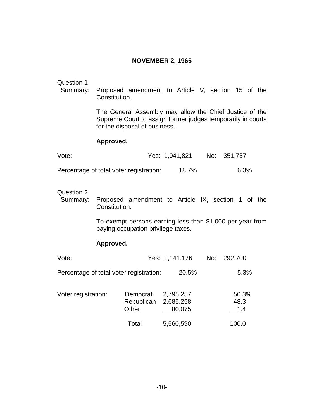### **NOVEMBER 2, 1965**

#### <span id="page-18-0"></span>Question 1

 Summary: Proposed amendment to Article V, section 15 of the Constitution.

> The General Assembly may allow the Chief Justice of the Supreme Court to assign former judges temporarily in courts for the disposal of business.

#### **Approved.**

| Vote:                                   | Yes: 1,041,821 | No: 351,737 |
|-----------------------------------------|----------------|-------------|
| Percentage of total voter registration: | 18.7%          | 6.3%        |

Question 2<br>Summary: Proposed amendment to Article IX, section 1 of the Constitution.

> To exempt persons earning less than \$1,000 per year from paying occupation privilege taxes.

| Vote:                                   |                                 | Yes: 1,141,176                   | No: 292,700          |
|-----------------------------------------|---------------------------------|----------------------------------|----------------------|
| Percentage of total voter registration: |                                 | 20.5%                            | 5.3%                 |
| Voter registration:                     | Democrat<br>Republican<br>Other | 2,795,257<br>2,685,258<br>80,075 | 50.3%<br>48.3<br>1.4 |
|                                         | Total                           | 5,560,590                        | 100.0                |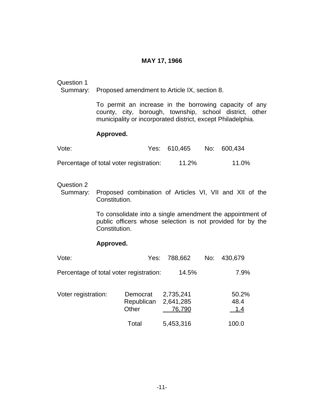#### **MAY 17, 1966**

# <span id="page-19-0"></span>Question 1

Summary: Proposed amendment to Article IX, section 8.

To permit an increase in the borrowing capacity of any county, city, borough, township, school district, other municipality or incorporated district, except Philadelphia.

#### **Approved.**

| Vote:                                   | Yes: 610,465 | No: 600,434 |
|-----------------------------------------|--------------|-------------|
| Percentage of total voter registration: | 11.2%        | 11.0%       |

#### Question 2

 Summary: Proposed combination of Articles VI, VII and XII of the Constitution.

> To consolidate into a single amendment the appointment of public officers whose selection is not provided for by the Constitution.

| Vote:                                   | Yes:                            | 788,662                          | No: | 430,679              |
|-----------------------------------------|---------------------------------|----------------------------------|-----|----------------------|
| Percentage of total voter registration: |                                 | 14.5%                            |     | 7.9%                 |
| Voter registration:                     | Democrat<br>Republican<br>Other | 2,735,241<br>2,641,285<br>76,790 |     | 50.2%<br>48.4<br>1.4 |
|                                         | Total                           | 5,453,316                        |     | 100.0                |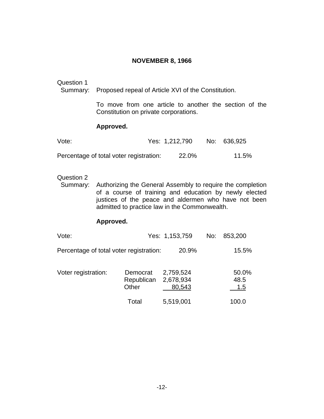# **NOVEMBER 8, 1966**

# <span id="page-20-0"></span>Question 1

Summary: Proposed repeal of Article XVI of the Constitution.

To move from one article to another the section of the Constitution on private corporations.

# **Approved.**

| Vote:                                   | Yes: 1,212,790 | No: 636,925 |
|-----------------------------------------|----------------|-------------|
| Percentage of total voter registration: | 22.0%          | 11.5%       |

#### Question 2

 Summary: Authorizing the General Assembly to require the completion of a course of training and education by newly elected justices of the peace and aldermen who have not been admitted to practice law in the Commonwealth.

| Vote:                                   |                                 | Yes: 1,153,759                   | No: | 853,200              |
|-----------------------------------------|---------------------------------|----------------------------------|-----|----------------------|
| Percentage of total voter registration: |                                 | 20.9%                            |     | 15.5%                |
| Voter registration:                     | Democrat<br>Republican<br>Other | 2,759,524<br>2,678,934<br>80,543 |     | 50.0%<br>48.5<br>1.5 |
|                                         | Total                           | 5,519,001                        |     | 100.0                |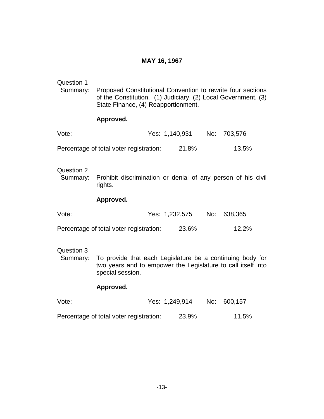# **MAY 16, 1967**

<span id="page-21-0"></span>

| Question 1<br>Summary: | Proposed Constitutional Convention to rewrite four sections<br>of the Constitution. (1) Judiciary, (2) Local Government, (3)<br>State Finance, (4) Reapportionment. |                |     |         |
|------------------------|---------------------------------------------------------------------------------------------------------------------------------------------------------------------|----------------|-----|---------|
|                        | Approved.                                                                                                                                                           |                |     |         |
| Vote:                  |                                                                                                                                                                     | Yes: 1,140,931 | No: | 703,576 |
|                        | Percentage of total voter registration:                                                                                                                             | 21.8%          |     | 13.5%   |
| Question 2<br>Summary: | Prohibit discrimination or denial of any person of his civil<br>rights.                                                                                             |                |     |         |
|                        | Approved.                                                                                                                                                           |                |     |         |
| Vote:                  |                                                                                                                                                                     | Yes: 1,232,575 | No: | 638,365 |
|                        | Percentage of total voter registration:                                                                                                                             | 23.6%          |     | 12.2%   |
| Question 3<br>Summary: | To provide that each Legislature be a continuing body for<br>two years and to empower the Legislature to call itself into<br>special session.<br>Approved.          |                |     |         |
| Vote:                  |                                                                                                                                                                     | Yes: 1,249,914 | No: | 600,157 |
|                        | Percentage of total voter registration:                                                                                                                             | 23.9%          |     | 11.5%   |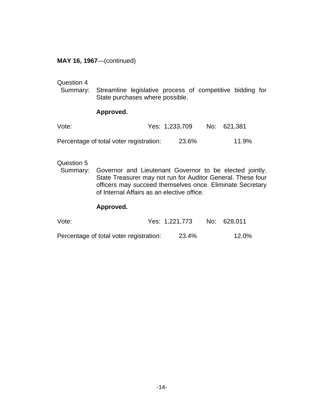### <span id="page-22-0"></span>**MAY 16, 1967**—(continued)

#### Question 4

 Summary: Streamline legislative process of competitive bidding for State purchases where possible.

#### **Approved.**

| Vote:                                   | Yes: 1,233,709 | No: 621,381 |
|-----------------------------------------|----------------|-------------|
| Percentage of total voter registration: | 23.6%          | 11.9%       |

#### Question 5

 Summary: Governor and Lieutenant Governor to be elected jointly. State Treasurer may not run for Auditor General. These four officers may succeed themselves once. Eliminate Secretary of Internal Affairs as an elective office.

| Vote:                                   | Yes: 1,221,773 | No: 628,011 |
|-----------------------------------------|----------------|-------------|
| Percentage of total voter registration: | 23.4%          | 12.0%       |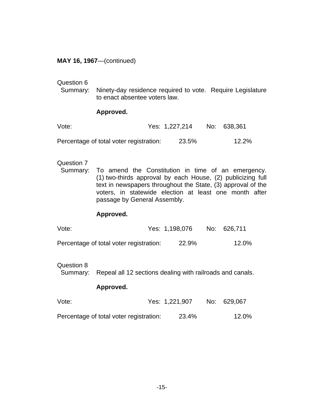### <span id="page-23-0"></span>**MAY 16, 1967**—(continued)

#### Question 6

 Summary: Ninety-day residence required to vote. Require Legislature to enact absentee voters law.

#### **Approved.**

| Vote:                                   | Yes: 1,227,214 | No: 638,361 |
|-----------------------------------------|----------------|-------------|
| Percentage of total voter registration: | 23.5%          | 12.2%       |

#### Question 7

 Summary: To amend the Constitution in time of an emergency. (1) two-thirds approval by each House, (2) publicizing full text in newspapers throughout the State, (3) approval of the voters, in statewide election at least one month after passage by General Assembly.

#### **Approved.**

| Vote:                                   | Yes: 1,198,076 | No: 626,711 |
|-----------------------------------------|----------------|-------------|
| Percentage of total voter registration: | 22.9%          | 12.0%       |

# Question 8

Summary: Repeal all 12 sections dealing with railroads and canals.

| Vote:                                   | Yes: 1,221,907 | No: 629,067 |
|-----------------------------------------|----------------|-------------|
| Percentage of total voter registration: | 23.4%          | 12.0%       |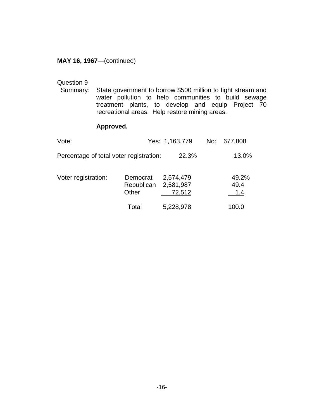### <span id="page-24-0"></span>**MAY 16, 1967**—(continued)

# Question 9<br>Summary:

State government to borrow \$500 million to fight stream and water pollution to help communities to build sewage treatment plants, to develop and equip Project 70 recreational areas. Help restore mining areas.

| Vote:                                   |                                 | Yes: 1,163,779                   | No: | 677,808              |
|-----------------------------------------|---------------------------------|----------------------------------|-----|----------------------|
| Percentage of total voter registration: |                                 | 22.3%                            |     | 13.0%                |
| Voter registration:                     | Democrat<br>Republican<br>Other | 2,574,479<br>2,581,987<br>72,512 |     | 49.2%<br>49.4<br>1.4 |
|                                         | Total                           | 5,228,978                        |     | 100.0                |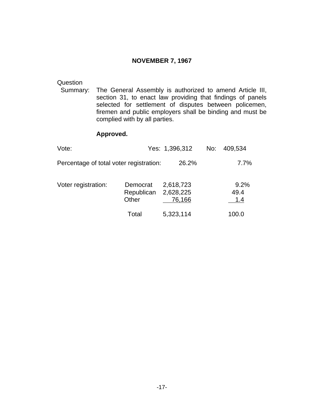### **NOVEMBER 7, 1967**

<span id="page-25-0"></span>Question<br>Summary: The General Assembly is authorized to amend Article III, section 31, to enact law providing that findings of panels selected for settlement of disputes between policemen, firemen and public employers shall be binding and must be complied with by all parties.

| Vote:                                   |                                 | Yes: 1,396,312                   | No: | 409,534             |
|-----------------------------------------|---------------------------------|----------------------------------|-----|---------------------|
| Percentage of total voter registration: |                                 | 26.2%                            |     | 7.7%                |
| Voter registration:                     | Democrat<br>Republican<br>Other | 2,618,723<br>2,628,225<br>76,166 |     | 9.2%<br>49.4<br>1.4 |
|                                         | Total                           | 5,323,114                        |     | 100.0               |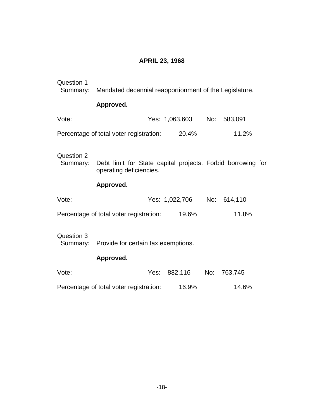# **APRIL 23, 1968**

<span id="page-26-0"></span>

| Question 1<br>Summary: | Mandated decennial reapportionment of the Legislature.                                 |                            |       |
|------------------------|----------------------------------------------------------------------------------------|----------------------------|-------|
|                        | Approved.                                                                              |                            |       |
| Vote:                  |                                                                                        | Yes: 1,063,603 No: 583,091 |       |
|                        | Percentage of total voter registration: 20.4%                                          |                            | 11.2% |
| Question 2<br>Summary: | Debt limit for State capital projects. Forbid borrowing for<br>operating deficiencies. |                            |       |
|                        | Approved.                                                                              |                            |       |
| Vote:                  |                                                                                        | Yes: 1,022,706 No: 614,110 |       |
|                        | Percentage of total voter registration:                                                | 19.6%                      | 11.8% |
| Question 3             | Summary: Provide for certain tax exemptions.                                           |                            |       |
|                        | Approved.                                                                              |                            |       |
| Vote:                  |                                                                                        |                            |       |
|                        | Percentage of total voter registration:                                                | 16.9%                      | 14.6% |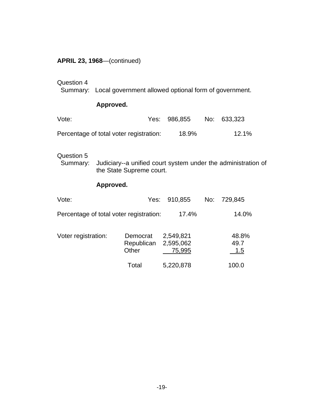<span id="page-27-0"></span>

|  |  |  | <b>APRIL 23, 1968</b> —(continued) |
|--|--|--|------------------------------------|
|--|--|--|------------------------------------|

# Question 4

Summary: Local government allowed optional form of government.

# **Approved.**

| Vote:                                   | Yes: 986,855 | No: 633,323 |
|-----------------------------------------|--------------|-------------|
| Percentage of total voter registration: | 18.9%        | 12.1%       |

# Question 5<br>Summary:

Judiciary--a unified court system under the administration of the State Supreme court.

| Vote:                                   |                                 | Yes: 910,855                     | No: | 729,845              |
|-----------------------------------------|---------------------------------|----------------------------------|-----|----------------------|
| Percentage of total voter registration: |                                 | 17.4%                            |     | 14.0%                |
| Voter registration:                     | Democrat<br>Republican<br>Other | 2,549,821<br>2,595,062<br>75,995 |     | 48.8%<br>49.7<br>1.5 |
|                                         | Total                           | 5,220,878                        |     | 100.0                |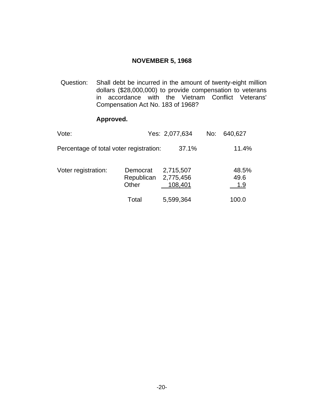# **NOVEMBER 5, 1968**

<span id="page-28-0"></span>Question: Shall debt be incurred in the amount of twenty-eight million dollars (\$28,000,000) to provide compensation to veterans in accordance with the Vietnam Conflict Veterans' Compensation Act No. 183 of 1968?

| Vote:                                   |                                           | Yes: 2,077,634       | No: | 640,627              |
|-----------------------------------------|-------------------------------------------|----------------------|-----|----------------------|
| Percentage of total voter registration: |                                           | 37.1%                |     | 11.4%                |
| Voter registration:                     | Democrat<br>Republican 2,775,456<br>Other | 2,715,507<br>108,401 |     | 48.5%<br>49.6<br>1.9 |
|                                         | Total                                     | 5,599,364            |     | 100.0                |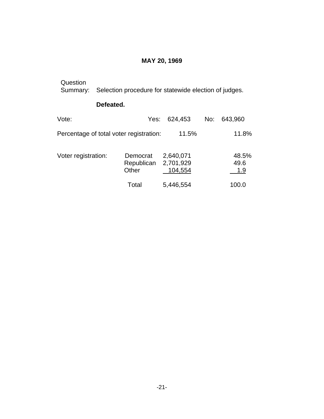# **MAY 20, 1969**

<span id="page-29-0"></span>

| Question<br>Summary: |           | Selection procedure for statewide election of judges. |                        |         |     |                      |
|----------------------|-----------|-------------------------------------------------------|------------------------|---------|-----|----------------------|
|                      | Defeated. |                                                       |                        |         |     |                      |
| Vote:                |           | Yes:                                                  |                        | 624,453 | No: | 643,960              |
|                      |           | Percentage of total voter registration:               |                        | 11.5%   |     | 11.8%                |
| Voter registration:  |           | Democrat<br>Republican<br>Other                       | 2,640,071<br>2,701,929 | 104,554 |     | 48.5%<br>49.6<br>1.9 |
|                      |           | Total                                                 | 5,446,554              |         |     | 100.0                |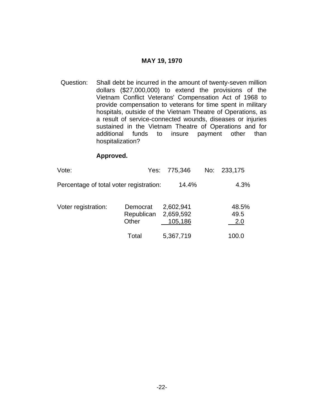#### **MAY 19, 1970**

<span id="page-30-0"></span>Question: Shall debt be incurred in the amount of twenty-seven million dollars (\$27,000,000) to extend the provisions of the Vietnam Conflict Veterans' Compensation Act of 1968 to provide compensation to veterans for time spent in military hospitals, outside of the Vietnam Theatre of Operations, as a result of service-connected wounds, diseases or injuries sustained in the Vietnam Theatre of Operations and for additional funds to insure payment other than hospitalization?

| Vote:                                   |                                 | Yes: 775,346                      | No: | 233,175              |
|-----------------------------------------|---------------------------------|-----------------------------------|-----|----------------------|
| Percentage of total voter registration: |                                 | 14.4%                             |     | 4.3%                 |
| Voter registration:                     | Democrat<br>Republican<br>Other | 2,602,941<br>2,659,592<br>105,186 |     | 48.5%<br>49.5<br>2.0 |
|                                         | Total                           | 5,367,719                         |     | 100.0                |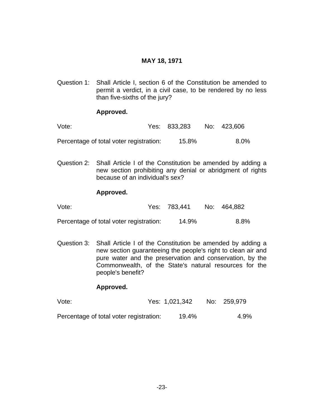# **MAY 18, 1971**

<span id="page-31-0"></span>Question 1: Shall Article I, section 6 of the Constitution be amended to permit a verdict, in a civil case, to be rendered by no less than five-sixths of the jury?

# **Approved.**

| Vote:                                   | Yes: 833,283 | No: 423,606 |
|-----------------------------------------|--------------|-------------|
| Percentage of total voter registration: | 15.8%        | $8.0\%$     |

Question 2: Shall Article I of the Constitution be amended by adding a new section prohibiting any denial or abridgment of rights because of an individual's sex?

#### **Approved.**

| Vote:                                   | Yes: 783.441 | No: 464,882 |
|-----------------------------------------|--------------|-------------|
| Percentage of total voter registration: | 14.9%        | 8.8%        |

Question 3: Shall Article I of the Constitution be amended by adding a new section guaranteeing the people's right to clean air and pure water and the preservation and conservation, by the Commonwealth, of the State's natural resources for the people's benefit?

| Vote:                                   | Yes: 1,021,342 | No: 259,979 |
|-----------------------------------------|----------------|-------------|
| Percentage of total voter registration: | 19.4%          | 4.9%        |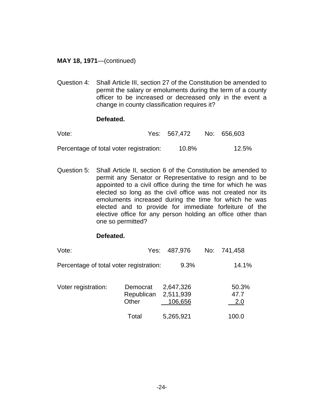# <span id="page-32-0"></span>**MAY 18, 1971**—(continued)

Question 4: Shall Article III, section 27 of the Constitution be amended to permit the salary or emoluments during the term of a county officer to be increased or decreased only in the event a change in county classification requires it?

# **Defeated.**

| Vote:                                   | Yes: 567,472 | No: 656,603 |
|-----------------------------------------|--------------|-------------|
| Percentage of total voter registration: | 10.8%        | 12.5%       |

Question 5: Shall Article II, section 6 of the Constitution be amended to permit any Senator or Representative to resign and to be appointed to a civil office during the time for which he was elected so long as the civil office was not created nor its emoluments increased during the time for which he was elected and to provide for immediate forfeiture of the elective office for any person holding an office other than one so permitted?

# **Defeated.**

| Vote:                                   | Yes:                            | 487,976                           | No: 741,458          |
|-----------------------------------------|---------------------------------|-----------------------------------|----------------------|
| Percentage of total voter registration: |                                 | 9.3%                              | 14.1%                |
| Voter registration:                     | Democrat<br>Republican<br>Other | 2,647,326<br>2,511,939<br>106,656 | 50.3%<br>47.7<br>2.0 |
|                                         | Total                           | 5,265,921                         | 100.0                |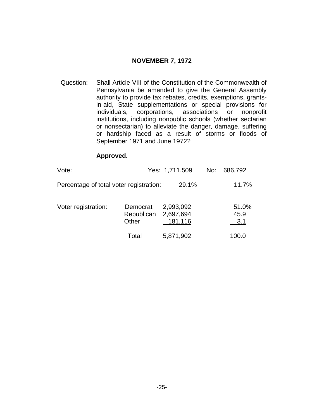# **NOVEMBER 7, 1972**

<span id="page-33-0"></span>Question: Shall Article VIII of the Constitution of the Commonwealth of Pennsylvania be amended to give the General Assembly authority to provide tax rebates, credits, exemptions, grantsin-aid, State supplementations or special provisions for individuals, corporations, associations or nonprofit institutions, including nonpublic schools (whether sectarian or nonsectarian) to alleviate the danger, damage, suffering or hardship faced as a result of storms or floods of September 1971 and June 1972?

| Vote:                                   |                                 | Yes: 1,711,509                    | No: | 686,792              |
|-----------------------------------------|---------------------------------|-----------------------------------|-----|----------------------|
| Percentage of total voter registration: |                                 | 29.1%                             |     | 11.7%                |
| Voter registration:                     | Democrat<br>Republican<br>Other | 2,993,092<br>2,697,694<br>181,116 |     | 51.0%<br>45.9<br>3.1 |
|                                         | Total                           | 5,871,902                         |     | 100.0                |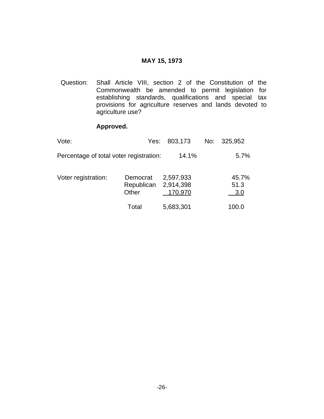# **MAY 15, 1973**

<span id="page-34-0"></span>Question: Shall Article VIII, section 2 of the Constitution of the Commonwealth be amended to permit legislation for establishing standards, qualifications and special tax provisions for agriculture reserves and lands devoted to agriculture use?

| Vote:                                   | Yes:                                      | 803,173              | No: | 325,952              |
|-----------------------------------------|-------------------------------------------|----------------------|-----|----------------------|
| Percentage of total voter registration: |                                           | 14.1%                |     | 5.7%                 |
| Voter registration:                     | Democrat<br>Republican 2,914,398<br>Other | 2,597,933<br>170,970 |     | 45.7%<br>51.3<br>3.0 |
|                                         | Total                                     | 5,683,301            |     | 100.0                |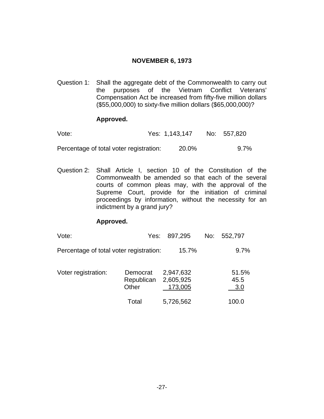# **NOVEMBER 6, 1973**

<span id="page-35-0"></span>Question 1: Shall the aggregate debt of the Commonwealth to carry out the purposes of the Vietnam Conflict Veterans' Compensation Act be increased from fifty-five million dollars (\$55,000,000) to sixty-five million dollars (\$65,000,000)?

# **Approved.**

| Vote: | Yes: 1,143,147 | No: 557,820 |
|-------|----------------|-------------|
|       |                |             |

Percentage of total voter registration: 20.0% 9.7%

Question 2: Shall Article I, section 10 of the Constitution of the Commonwealth be amended so that each of the several courts of common pleas may, with the approval of the Supreme Court, provide for the initiation of criminal proceedings by information, without the necessity for an indictment by a grand jury?

| Vote:                                   | Yes:                            | 897,295                           | No: | 552,797              |
|-----------------------------------------|---------------------------------|-----------------------------------|-----|----------------------|
| Percentage of total voter registration: |                                 | 15.7%                             |     | 9.7%                 |
| Voter registration:                     | Democrat<br>Republican<br>Other | 2,947,632<br>2,605,925<br>173,005 |     | 51.5%<br>45.5<br>3.0 |
|                                         | Total                           | 5,726,562                         |     | 100.0                |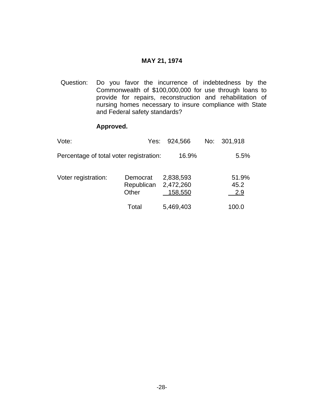#### **MAY 21, 1974**

<span id="page-36-0"></span> Question: Do you favor the incurrence of indebtedness by the Commonwealth of \$100,000,000 for use through loans to provide for repairs, reconstruction and rehabilitation of nursing homes necessary to insure compliance with State and Federal safety standards?

| Vote:                                   | Yes:                            | 924,566                           | No: | 301,918              |
|-----------------------------------------|---------------------------------|-----------------------------------|-----|----------------------|
| Percentage of total voter registration: |                                 | 16.9%                             |     | 5.5%                 |
| Voter registration:                     | Democrat<br>Republican<br>Other | 2,838,593<br>2,472,260<br>158,550 |     | 51.9%<br>45.2<br>2.9 |
|                                         | Total                           | 5,469,403                         |     | 100.0                |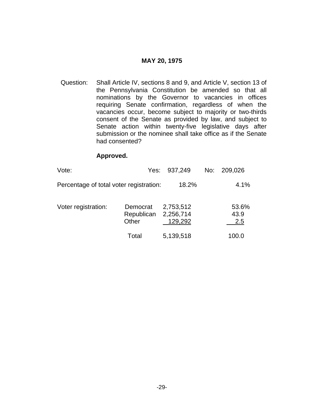#### **MAY 20, 1975**

<span id="page-37-0"></span>Question: Shall Article IV, sections 8 and 9, and Article V, section 13 of the Pennsylvania Constitution be amended so that all nominations by the Governor to vacancies in offices requiring Senate confirmation, regardless of when the vacancies occur, become subject to majority or two-thirds consent of the Senate as provided by law, and subject to Senate action within twenty-five legislative days after submission or the nominee shall take office as if the Senate had consented?

| Vote:                                   |                                 | Yes: 937,249                      | No: | 209,026              |
|-----------------------------------------|---------------------------------|-----------------------------------|-----|----------------------|
| Percentage of total voter registration: |                                 | 18.2%                             |     | 4.1%                 |
| Voter registration:                     | Democrat<br>Republican<br>Other | 2,753,512<br>2,256,714<br>129,292 |     | 53.6%<br>43.9<br>2.5 |
|                                         | Total                           | 5,139,518                         |     | 100.0                |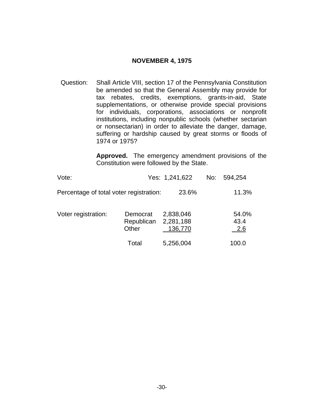### **NOVEMBER 4, 1975**

<span id="page-38-0"></span>Question: Shall Article VIII, section 17 of the Pennsylvania Constitution be amended so that the General Assembly may provide for tax rebates, credits, exemptions, grants-in-aid, State supplementations, or otherwise provide special provisions for individuals, corporations, associations or nonprofit institutions, including nonpublic schools (whether sectarian or nonsectarian) in order to alleviate the danger, damage, suffering or hardship caused by great storms or floods of 1974 or 1975?

> **Approved.** The emergency amendment provisions of the Constitution were followed by the State.

| Vote:                                   |                                 | Yes: 1,241,622                    | No: 594,254                 |
|-----------------------------------------|---------------------------------|-----------------------------------|-----------------------------|
| Percentage of total voter registration: |                                 | 23.6%                             | 11.3%                       |
| Voter registration:                     | Democrat<br>Republican<br>Other | 2,838,046<br>2,281,188<br>136,770 | 54.0%<br>43.4<br><u>2.6</u> |
|                                         | Total                           | 5,256,004                         | 100.0                       |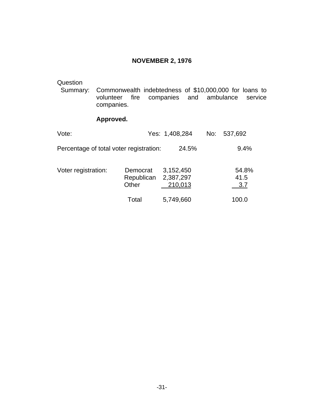# **NOVEMBER 2, 1976**

<span id="page-39-0"></span>Question<br>Summary: Commonwealth indebtedness of \$10,000,000 for loans to volunteer fire companies and ambulance service volunteer fire companies and ambulance service companies.

| Vote:                                   |                                 | Yes: 1,408,284                    | No: | 537,692              |
|-----------------------------------------|---------------------------------|-----------------------------------|-----|----------------------|
| Percentage of total voter registration: |                                 | 24.5%                             |     | 9.4%                 |
| Voter registration:                     | Democrat<br>Republican<br>Other | 3,152,450<br>2,387,297<br>210,013 |     | 54.8%<br>41.5<br>3.7 |
|                                         | Total                           | 5,749,660                         |     | 100.0                |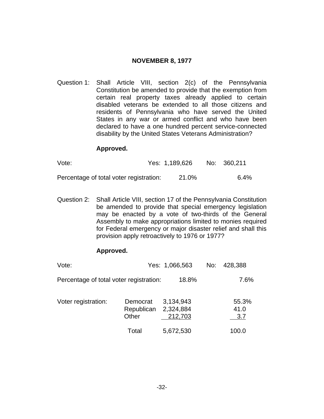### **NOVEMBER 8, 1977**

<span id="page-40-0"></span>Question 1: Shall Article VIII, section 2(c) of the Pennsylvania Constitution be amended to provide that the exemption from certain real property taxes already applied to certain disabled veterans be extended to all those citizens and residents of Pennsylvania who have served the United States in any war or armed conflict and who have been declared to have a one hundred percent service-connected disability by the United States Veterans Administration?

#### **Approved.**

| Vote:                                   | Yes: 1,189,626 | No: 360,211 |
|-----------------------------------------|----------------|-------------|
| Percentage of total voter registration: | 21.0%          | $6.4\%$     |

Question 2: Shall Article VIII, section 17 of the Pennsylvania Constitution be amended to provide that special emergency legislation may be enacted by a vote of two-thirds of the General Assembly to make appropriations limited to monies required for Federal emergency or major disaster relief and shall this provision apply retroactively to 1976 or 1977?

| Vote:                                   |                                 | Yes: 1,066,563                    | No: | 428,388              |
|-----------------------------------------|---------------------------------|-----------------------------------|-----|----------------------|
| Percentage of total voter registration: |                                 | 18.8%                             |     | 7.6%                 |
| Voter registration:                     | Democrat<br>Republican<br>Other | 3,134,943<br>2,324,884<br>212,703 |     | 55.3%<br>41.0<br>3.7 |
|                                         | Total                           | 5,672,530                         |     | 100.0                |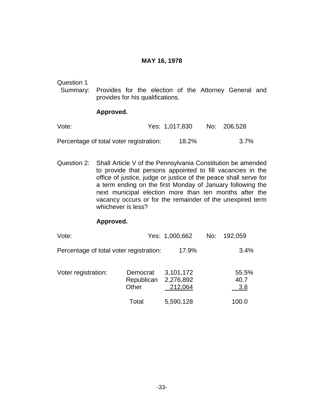#### **MAY 16, 1978**

<span id="page-41-0"></span>Question 1

 Summary: Provides for the election of the Attorney General and provides for his qualifications.

#### **Approved.**

| Vote:                                   | Yes: 1,017,830 | No: 206,528 |
|-----------------------------------------|----------------|-------------|
| Percentage of total voter registration: | 18.2%          | 3.7%        |

Question 2: Shall Article V of the Pennsylvania Constitution be amended to provide that persons appointed to fill vacancies in the office of justice, judge or justice of the peace shall serve for a term ending on the first Monday of January following the next municipal election more than ten months after the vacancy occurs or for the remainder of the unexpired term whichever is less?

| Vote:                                   |                                 | Yes: 1,000,662                    | No: | 192,059              |
|-----------------------------------------|---------------------------------|-----------------------------------|-----|----------------------|
| Percentage of total voter registration: |                                 | 17.9%                             |     | 3.4%                 |
| Voter registration:                     | Democrat<br>Republican<br>Other | 3,101,172<br>2,276,892<br>212,064 |     | 55.5%<br>40.7<br>3.8 |
|                                         | Total                           | 5,590,128                         |     | 100.0                |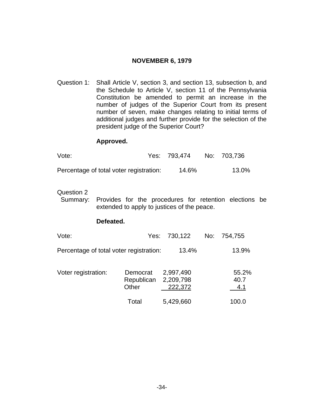# **NOVEMBER 6, 1979**

<span id="page-42-0"></span>Question 1: Shall Article V, section 3, and section 13, subsection b, and the Schedule to Article V, section 11 of the Pennsylvania Constitution be amended to permit an increase in the number of judges of the Superior Court from its present number of seven, make changes relating to initial terms of additional judges and further provide for the selection of the president judge of the Superior Court?

#### **Approved.**

| Vote:                                   | Yes: 793,474 | No: 703,736 |
|-----------------------------------------|--------------|-------------|
| Percentage of total voter registration: | 14.6%        | 13.0%       |

#### Question 2

 Summary: Provides for the procedures for retention elections be extended to apply to justices of the peace.

#### **Defeated.**

| Vote:                                   |                                 | Yes: 730,122                      | No: 754,755          |
|-----------------------------------------|---------------------------------|-----------------------------------|----------------------|
| Percentage of total voter registration: |                                 | 13.4%                             | 13.9%                |
| Voter registration:                     | Democrat<br>Republican<br>Other | 2,997,490<br>2,209,798<br>222,372 | 55.2%<br>40.7<br>4.1 |

Total 5,429,660 100.0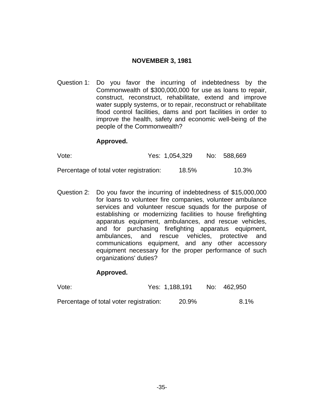# **NOVEMBER 3, 1981**

<span id="page-43-0"></span>Question 1: Do you favor the incurring of indebtedness by the Commonwealth of \$300,000,000 for use as loans to repair, construct, reconstruct, rehabilitate, extend and improve water supply systems, or to repair, reconstruct or rehabilitate flood control facilities, dams and port facilities in order to improve the health, safety and economic well-being of the people of the Commonwealth?

#### **Approved.**

| Vote:                                   | Yes: 1,054,329 | No: 588,669 |
|-----------------------------------------|----------------|-------------|
| Percentage of total voter registration: | 18.5%          | 10.3%       |

Question 2: Do you favor the incurring of indebtedness of \$15,000,000 for loans to volunteer fire companies, volunteer ambulance services and volunteer rescue squads for the purpose of establishing or modernizing facilities to house firefighting apparatus equipment, ambulances, and rescue vehicles, and for purchasing firefighting apparatus equipment, ambulances, and rescue vehicles, protective and communications equipment, and any other accessory equipment necessary for the proper performance of such organizations' duties?

| Vote:                                   | Yes: 1,188,191 | No: 462,950 |
|-----------------------------------------|----------------|-------------|
| Percentage of total voter registration: | 20.9%          | 8.1%        |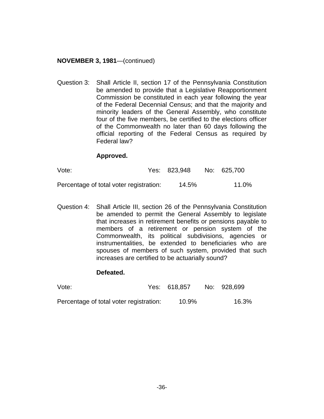### <span id="page-44-0"></span>**NOVEMBER 3, 1981**—(continued)

Question 3: Shall Article II, section 17 of the Pennsylvania Constitution be amended to provide that a Legislative Reapportionment Commission be constituted in each year following the year of the Federal Decennial Census; and that the majority and minority leaders of the General Assembly, who constitute four of the five members, be certified to the elections officer of the Commonwealth no later than 60 days following the official reporting of the Federal Census as required by Federal law?

#### **Approved.**

| Vote:                                   | Yes: 823,948 | No: 625,700 |
|-----------------------------------------|--------------|-------------|
| Percentage of total voter registration: | 14.5%        | 11.0%       |

Question 4: Shall Article III, section 26 of the Pennsylvania Constitution be amended to permit the General Assembly to legislate that increases in retirement benefits or pensions payable to members of a retirement or pension system of the Commonwealth, its political subdivisions, agencies or instrumentalities, be extended to beneficiaries who are spouses of members of such system, provided that such increases are certified to be actuarially sound?

#### **Defeated.**

| Vote:                                   | Yes: 618,857 | No: 928,699 |
|-----------------------------------------|--------------|-------------|
| Percentage of total voter registration: | 10.9%        | 16.3%       |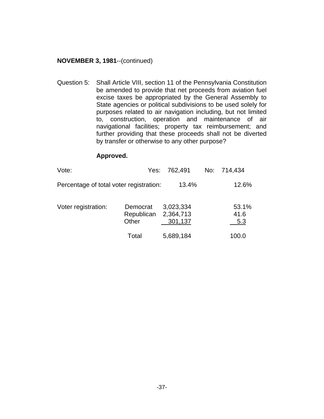#### **NOVEMBER 3, 1981**--(continued)

Question 5: Shall Article VIII, section 11 of the Pennsylvania Constitution be amended to provide that net proceeds from aviation fuel excise taxes be appropriated by the General Assembly to State agencies or political subdivisions to be used solely for purposes related to air navigation including, but not limited to, construction, operation and maintenance of air navigational facilities; property tax reimbursement; and further providing that these proceeds shall not be diverted by transfer or otherwise to any other purpose?

| Vote:                                   |                                           | Yes: 762,491         | No: 714,434          |
|-----------------------------------------|-------------------------------------------|----------------------|----------------------|
| Percentage of total voter registration: |                                           | 13.4%                | 12.6%                |
| Voter registration:                     | Democrat<br>Republican 2,364,713<br>Other | 3,023,334<br>301,137 | 53.1%<br>41.6<br>5.3 |
|                                         | Total                                     | 5,689,184            | 100.0                |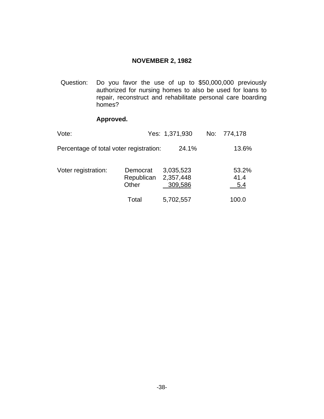# **NOVEMBER 2, 1982**

<span id="page-46-0"></span>Question: Do you favor the use of up to \$50,000,000 previously authorized for nursing homes to also be used for loans to repair, reconstruct and rehabilitate personal care boarding homes?

| Vote:                                   |                                 | Yes: 1,371,930                    | No: 774,178          |
|-----------------------------------------|---------------------------------|-----------------------------------|----------------------|
| Percentage of total voter registration: |                                 | 24.1%                             | 13.6%                |
| Voter registration:                     | Democrat<br>Republican<br>Other | 3,035,523<br>2,357,448<br>309,586 | 53.2%<br>41.4<br>5.4 |
|                                         | Total                           | 5,702,557                         | 100.0                |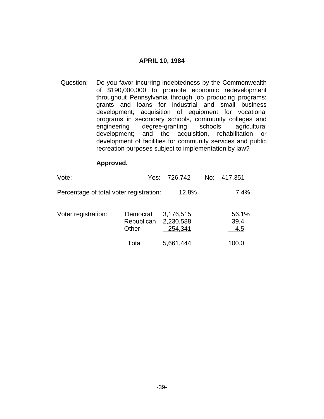#### **APRIL 10, 1984**

<span id="page-47-0"></span>Question: Do you favor incurring indebtedness by the Commonwealth of \$190,000,000 to promote economic redevelopment throughout Pennsylvania through job producing programs; grants and loans for industrial and small business development; acquisition of equipment for vocational programs in secondary schools, community colleges and engineering degree-granting schools; agricultural development; and the acquisition, rehabilitation or development of facilities for community services and public recreation purposes subject to implementation by law?

| Vote:                                   | Yes:                            | 726,742                           | No: | 417,351              |
|-----------------------------------------|---------------------------------|-----------------------------------|-----|----------------------|
| Percentage of total voter registration: |                                 | 12.8%                             |     | 7.4%                 |
| Voter registration:                     | Democrat<br>Republican<br>Other | 3,176,515<br>2,230,588<br>254,341 |     | 56.1%<br>39.4<br>4.5 |
|                                         | Total                           | 5,661,444                         |     | 100.0                |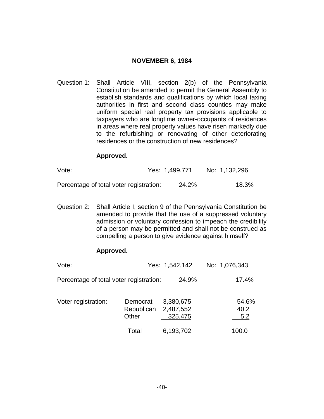### **NOVEMBER 6, 1984**

<span id="page-48-0"></span>Question 1: Shall Article VIII, section 2(b) of the Pennsylvania Constitution be amended to permit the General Assembly to establish standards and qualifications by which local taxing authorities in first and second class counties may make uniform special real property tax provisions applicable to taxpayers who are longtime owner-occupants of residences in areas where real property values have risen markedly due to the refurbishing or renovating of other deteriorating residences or the construction of new residences?

#### **Approved.**

| Vote:                                   | Yes: 1,499,771 | No: 1,132,296 |
|-----------------------------------------|----------------|---------------|
| Percentage of total voter registration: | 24.2%          | 18.3%         |

Question 2: Shall Article I, section 9 of the Pennsylvania Constitution be amended to provide that the use of a suppressed voluntary admission or voluntary confession to impeach the credibility of a person may be permitted and shall not be construed as compelling a person to give evidence against himself?

| Vote:                                   |                                 | Yes: 1,542,142                    | No: 1,076,343        |
|-----------------------------------------|---------------------------------|-----------------------------------|----------------------|
| Percentage of total voter registration: |                                 | 24.9%                             | 17.4%                |
| Voter registration:                     | Democrat<br>Republican<br>Other | 3,380,675<br>2,487,552<br>325,475 | 54.6%<br>40.2<br>5.2 |
|                                         | Total                           | 6,193,702                         | 100.0                |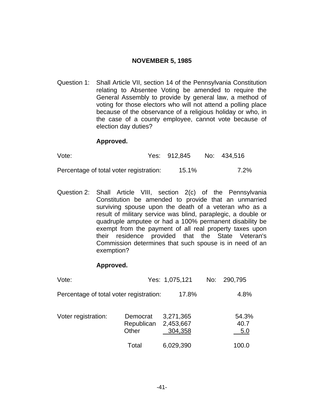### **NOVEMBER 5, 1985**

<span id="page-49-0"></span>Question 1: Shall Article VII, section 14 of the Pennsylvania Constitution relating to Absentee Voting be amended to require the General Assembly to provide by general law, a method of voting for those electors who will not attend a polling place because of the observance of a religious holiday or who, in the case of a county employee, cannot vote because of election day duties?

#### **Approved.**

| Vote:                                   | Yes: 912,845 | No: 434,516 |
|-----------------------------------------|--------------|-------------|
| Percentage of total voter registration: | 15.1%        | 7.2%        |

Question 2: Shall Article VIII, section 2(c) of the Pennsylvania Constitution be amended to provide that an unmarried surviving spouse upon the death of a veteran who as a result of military service was blind, paraplegic, a double or quadruple amputee or had a 100% permanent disability be exempt from the payment of all real property taxes upon their residence provided that the State Veteran's Commission determines that such spouse is in need of an exemption?

| Vote:                                   |                                 | Yes: 1,075,121                    | No: | 290,795              |
|-----------------------------------------|---------------------------------|-----------------------------------|-----|----------------------|
| Percentage of total voter registration: |                                 | 17.8%                             |     | 4.8%                 |
| Voter registration:                     | Democrat<br>Republican<br>Other | 3,271,365<br>2,453,667<br>304,358 |     | 54.3%<br>40.7<br>5.0 |
|                                         | Total                           | 6,029,390                         |     | 100.0                |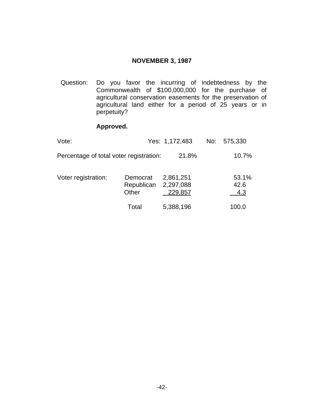### **NOVEMBER 3, 1987**

<span id="page-50-0"></span>Question: Do you favor the incurring of indebtedness by the Commonwealth of \$100,000,000 for the purchase of agricultural conservation easements for the preservation of agricultural land either for a period of 25 years or in perpetuity?

| Vote:                                   |                                 | Yes: 1,172,483                    | No: 575,330          |
|-----------------------------------------|---------------------------------|-----------------------------------|----------------------|
| Percentage of total voter registration: |                                 | 21.8%                             | 10.7%                |
| Voter registration:                     | Democrat<br>Republican<br>Other | 2,861,251<br>2,297,088<br>229,857 | 53.1%<br>42.6<br>4.3 |
|                                         | Total                           | 5,388,196                         | 100.0                |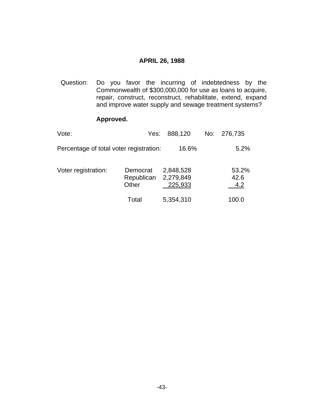#### **APRIL 26, 1988**

<span id="page-51-0"></span>Question: Do you favor the incurring of indebtedness by the Commonwealth of \$300,000,000 for use as loans to acquire, repair, construct, reconstruct, rehabilitate, extend, expand and improve water supply and sewage treatment systems?

| Vote:                                   | Yes:                            | 888,120                           | No: | 276,735              |
|-----------------------------------------|---------------------------------|-----------------------------------|-----|----------------------|
| Percentage of total voter registration: |                                 | 16.6%                             |     | 5.2%                 |
| Voter registration:                     | Democrat<br>Republican<br>Other | 2,848,528<br>2,279,849<br>225,933 |     | 53.2%<br>42.6<br>4.2 |
|                                         | Total                           | 5,354,310                         |     | 100.0                |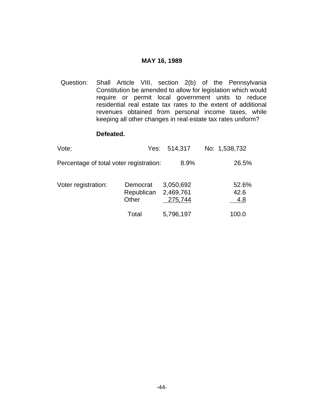#### **MAY 16, 1989**

<span id="page-52-0"></span>Question: Shall Article VIII, section 2(b) of the Pennsylvania Constitution be amended to allow for legislation which would require or permit local government units to reduce residential real estate tax rates to the extent of additional revenues obtained from personal income taxes, while keeping all other changes in real estate tax rates uniform?

#### **Defeated.**

| Vote:                                   |                                 | Yes: 514,317                      | No: 1,538,732        |
|-----------------------------------------|---------------------------------|-----------------------------------|----------------------|
| Percentage of total voter registration: |                                 | 8.9%                              | 26.5%                |
| Voter registration:                     | Democrat<br>Republican<br>Other | 3,050,692<br>2,469,761<br>275,744 | 52.6%<br>42.6<br>4.8 |
|                                         | Total                           | 5,796,197                         | 100.0                |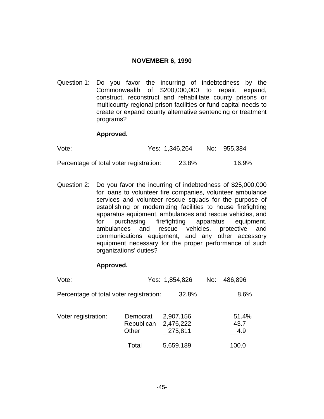#### **NOVEMBER 6, 1990**

<span id="page-53-0"></span>Question 1: Do you favor the incurring of indebtedness by the Commonwealth of \$200,000,000 to repair, expand, construct, reconstruct and rehabilitate county prisons or multicounty regional prison facilities or fund capital needs to create or expand county alternative sentencing or treatment programs?

#### **Approved.**

| Vote:                                   | Yes: 1,346,264 | No: 955,384 |
|-----------------------------------------|----------------|-------------|
| Percentage of total voter registration: | 23.8%          | 16.9%       |

Question 2: Do you favor the incurring of indebtedness of \$25,000,000 for loans to volunteer fire companies, volunteer ambulance services and volunteer rescue squads for the purpose of establishing or modernizing facilities to house firefighting apparatus equipment, ambulances and rescue vehicles, and for purchasing firefighting apparatus equipment, ambulances and rescue vehicles, protective and communications equipment, and any other accessory equipment necessary for the proper performance of such organizations' duties?

| Vote:                                   |                                           | Yes: 1,854,826       | No: 486,896          |
|-----------------------------------------|-------------------------------------------|----------------------|----------------------|
| Percentage of total voter registration: |                                           | 32.8%                | 8.6%                 |
| Voter registration:                     | Democrat<br>Republican 2,476,222<br>Other | 2,907,156<br>275,811 | 51.4%<br>43.7<br>4.9 |
|                                         | Total                                     | 5,659,189            | 100.0                |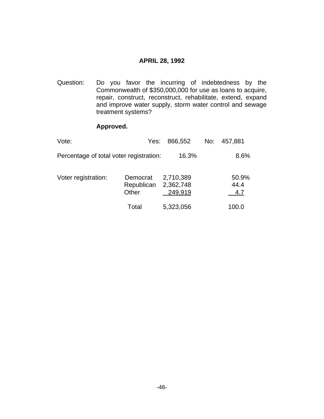#### **APRIL 28, 1992**

<span id="page-54-0"></span>Question: Do you favor the incurring of indebtedness by the Commonwealth of \$350,000,000 for use as loans to acquire, repair, construct, reconstruct, rehabilitate, extend, expand and improve water supply, storm water control and sewage treatment systems?

| Vote:                                   | Yes:                                      | 866,552              | No: | 457,881              |
|-----------------------------------------|-------------------------------------------|----------------------|-----|----------------------|
| Percentage of total voter registration: |                                           | 16.3%                |     | 8.6%                 |
| Voter registration:                     | Democrat<br>Republican 2,362,748<br>Other | 2,710,389<br>249,919 |     | 50.9%<br>44.4<br>4.7 |
|                                         | Total                                     | 5,323,056            |     | 100.0                |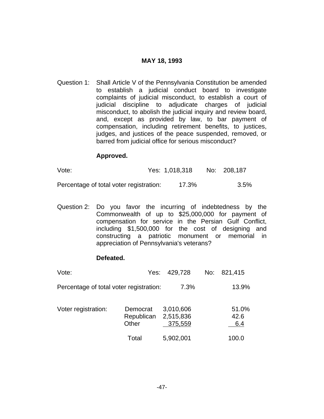# **MAY 18, 1993**

<span id="page-55-0"></span>Question 1: Shall Article V of the Pennsylvania Constitution be amended to establish a judicial conduct board to investigate complaints of judicial misconduct, to establish a court of judicial discipline to adjudicate charges of judicial misconduct, to abolish the judicial inquiry and review board, and, except as provided by law, to bar payment of compensation, including retirement benefits, to justices, judges, and justices of the peace suspended, removed, or barred from judicial office for serious misconduct?

#### **Approved.**

| Vote: | Yes: 1,018,318 No: 208,187 |  |
|-------|----------------------------|--|
|       |                            |  |

Percentage of total voter registration: 17.3% 3.5%

Question 2: Do you favor the incurring of indebtedness by the Commonwealth of up to \$25,000,000 for payment of compensation for service in the Persian Gulf Conflict, including \$1,500,000 for the cost of designing and constructing a patriotic monument or memorial in appreciation of Pennsylvania's veterans?

# **Defeated.**

| Vote:                                   | Yes:                            | 429,728                           | No: | 821,415              |
|-----------------------------------------|---------------------------------|-----------------------------------|-----|----------------------|
| Percentage of total voter registration: |                                 | 7.3%                              |     | 13.9%                |
| Voter registration:                     | Democrat<br>Republican<br>Other | 3,010,606<br>2,515,836<br>375,559 |     | 51.0%<br>42.6<br>6.4 |
|                                         | Total                           | 5,902,001                         |     | 100.0                |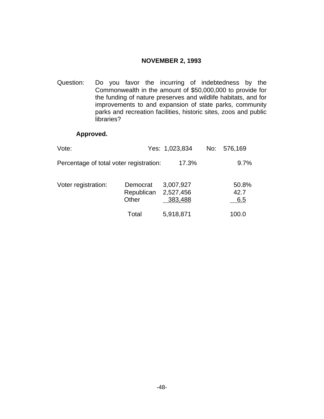#### **NOVEMBER 2, 1993**

<span id="page-56-0"></span>Question: Do you favor the incurring of indebtedness by the Commonwealth in the amount of \$50,000,000 to provide for the funding of nature preserves and wildlife habitats, and for improvements to and expansion of state parks, community parks and recreation facilities, historic sites, zoos and public libraries?

| Vote:                                   |                                 | Yes: 1,023,834                    | No: | 576,169              |
|-----------------------------------------|---------------------------------|-----------------------------------|-----|----------------------|
| Percentage of total voter registration: |                                 | 17.3%                             |     | 9.7%                 |
| Voter registration:                     | Democrat<br>Republican<br>Other | 3,007,927<br>2,527,456<br>383,488 |     | 50.8%<br>42.7<br>6.5 |
|                                         | Total                           | 5,918,871                         |     | 100.0                |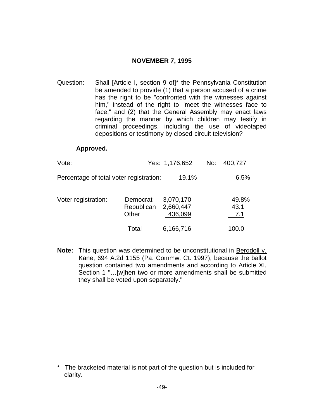# **NOVEMBER 7, 1995**

<span id="page-57-0"></span>Question: Shall [Article I, section 9 of]\* the Pennsylvania Constitution be amended to provide (1) that a person accused of a crime has the right to be "confronted with the witnesses against him," instead of the right to "meet the witnesses face to face," and (2) that the General Assembly may enact laws regarding the manner by which children may testify in criminal proceedings, including the use of videotaped depositions or testimony by closed-circuit television?

#### **Approved.**

| Vote:                                   |                                 | Yes: 1,176,652                    | No: | 400,727              |
|-----------------------------------------|---------------------------------|-----------------------------------|-----|----------------------|
| Percentage of total voter registration: |                                 | 19.1%                             |     | 6.5%                 |
| Voter registration:                     | Democrat<br>Republican<br>Other | 3,070,170<br>2,660,447<br>436,099 |     | 49.8%<br>43.1<br>7.1 |
|                                         | Total                           | 6,166,716                         |     | 100.0                |

**Note:** This question was determined to be unconstitutional in Bergdoll v. Kane, 694 A.2d 1155 (Pa. Commw. Ct. 1997), because the ballot question contained two amendments and according to Article XI, Section 1 "…[w]hen two or more amendments shall be submitted they shall be voted upon separately."

<sup>\*</sup> The bracketed material is not part of the question but is included for clarity.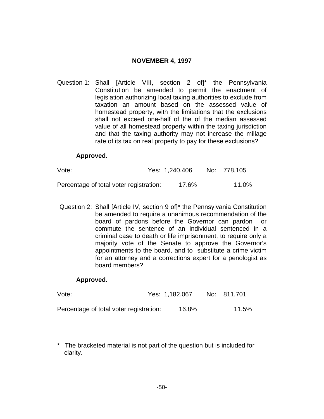# **NOVEMBER 4, 1997**

<span id="page-58-0"></span>Question 1: Shall [Article VIII, section 2 of]\* the Pennsylvania Constitution be amended to permit the enactment of legislation authorizing local taxing authorities to exclude from taxation an amount based on the assessed value of homestead property, with the limitations that the exclusions shall not exceed one-half of the of the median assessed value of all homestead property within the taxing jurisdiction and that the taxing authority may not increase the millage rate of its tax on real property to pay for these exclusions?

#### **Approved.**

| Vote:                                   | Yes: 1,240,406 | No: 778,105 |
|-----------------------------------------|----------------|-------------|
| Percentage of total voter registration: | 17.6%          | 11.0%       |

Question 2: Shall [Article IV, section 9 of]\* the Pennsylvania Constitution be amended to require a unanimous recommendation of the board of pardons before the Governor can pardon or commute the sentence of an individual sentenced in a criminal case to death or life imprisonment, to require only a majority vote of the Senate to approve the Governor's appointments to the board, and to substitute a crime victim for an attorney and a corrections expert for a penologist as board members?

#### **Approved.**

| Vote:                                   | Yes: 1,182,067 | No: 811,701 |
|-----------------------------------------|----------------|-------------|
| Percentage of total voter registration: | 16.8%          | 11.5%       |

\* The bracketed material is not part of the question but is included for clarity.